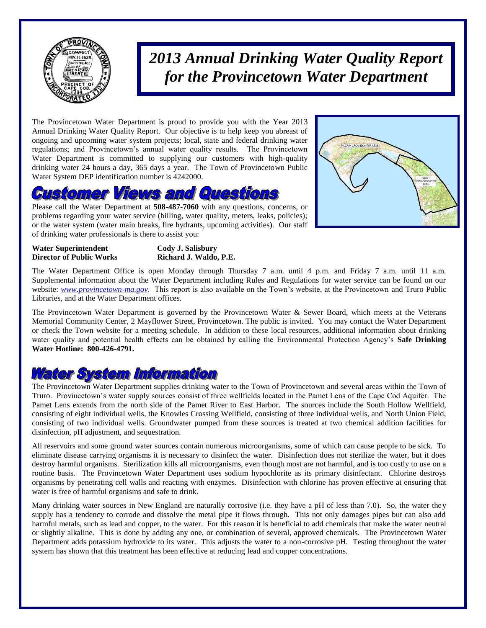

*2013 Annual Drinking Water Quality Report for the Provincetown Water Department*

The Provincetown Water Department is proud to provide you with the Year 2013 Annual Drinking Water Quality Report. Our objective is to help keep you abreast of ongoing and upcoming water system projects; local, state and federal drinking water regulations; and Provincetown's annual water quality results. The Provincetown Water Department is committed to supplying our customers with high-quality drinking water 24 hours a day, 365 days a year. The Town of Provincetown Public Water System DEP identification number is 4242000.

# ustomer Views and Questions

Please call the Water Department at **508-487-7060** with any questions, concerns, or problems regarding your water service (billing, water quality, meters, leaks, policies); or the water system (water main breaks, fire hydrants, upcoming activities). Our staff of drinking water professionals is there to assist you:



**Water Superintendent Cody J. Salisbury**

### **Director of Public Works Richard J. Waldo, P.E.**

The Water Department Office is open Monday through Thursday 7 a.m. until 4 p.m. and Friday 7 a.m. until 11 a.m. Supplemental information about the Water Department including Rules and Regulations for water service can be found on our website: *[www.provincetown-ma.gov](http://www.provincetowngov.org/)*. This report is also available on the Town's website, at the Provincetown and Truro Public Libraries, and at the Water Department offices.

The Provincetown Water Department is governed by the Provincetown Water & Sewer Board, which meets at the Veterans Memorial Community Center, 2 Mayflower Street, Provincetown. The public is invited. You may contact the Water Department or check the Town website for a meeting schedule. In addition to these local resources, additional information about drinking water quality and potential health effects can be obtained by calling the Environmental Protection Agency's **Safe Drinking Water Hotline: 800-426-4791.**

### Watter System Information

The Provincetown Water Department supplies drinking water to the Town of Provincetown and several areas within the Town of Truro. Provincetown's water supply sources consist of three wellfields located in the Pamet Lens of the Cape Cod Aquifer. The Pamet Lens extends from the north side of the Pamet River to East Harbor. The sources include the South Hollow Wellfield, consisting of eight individual wells, the Knowles Crossing Wellfield, consisting of three individual wells, and North Union Field, consisting of two individual wells. Groundwater pumped from these sources is treated at two chemical addition facilities for disinfection, pH adjustment, and sequestration.

All reservoirs and some ground water sources contain numerous microorganisms, some of which can cause people to be sick. To eliminate disease carrying organisms it is necessary to disinfect the water. Disinfection does not sterilize the water, but it does destroy harmful organisms. Sterilization kills all microorganisms, even though most are not harmful, and is too costly to use on a routine basis. The Provincetown Water Department uses sodium hypochlorite as its primary disinfectant. Chlorine destroys organisms by penetrating cell walls and reacting with enzymes. Disinfection with chlorine has proven effective at ensuring that water is free of harmful organisms and safe to drink.

Many drinking water sources in New England are naturally corrosive (i.e. they have a pH of less than 7.0). So, the water they supply has a tendency to corrode and dissolve the metal pipe it flows through. This not only damages pipes but can also add harmful metals, such as lead and copper, to the water. For this reason it is beneficial to add chemicals that make the water neutral or slightly alkaline. This is done by adding any one, or combination of several, approved chemicals. The Provincetown Water Department adds potassium hydroxide to its water. This adjusts the water to a non-corrosive pH. Testing throughout the water system has shown that this treatment has been effective at reducing lead and copper concentrations.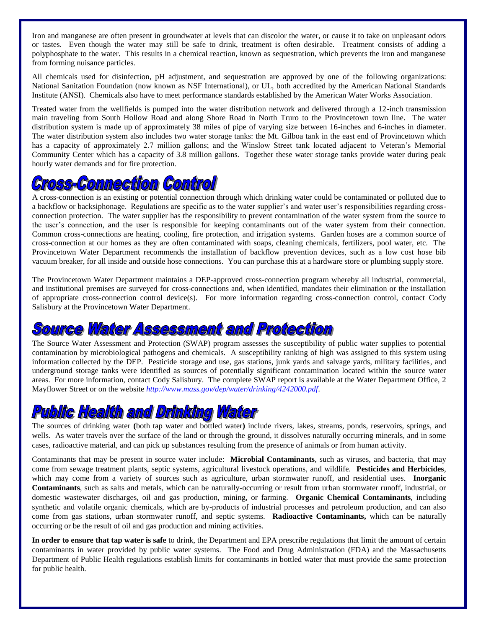Iron and manganese are often present in groundwater at levels that can discolor the water, or cause it to take on unpleasant odors or tastes. Even though the water may still be safe to drink, treatment is often desirable. Treatment consists of adding a polyphosphate to the water. This results in a chemical reaction, known as sequestration, which prevents the iron and manganese from forming nuisance particles.

All chemicals used for disinfection, pH adjustment, and sequestration are approved by one of the following organizations: National Sanitation Foundation (now known as NSF International), or UL, both accredited by the American National Standards Institute (ANSI). Chemicals also have to meet performance standards established by the American Water Works Association.

Treated water from the wellfields is pumped into the water distribution network and delivered through a 12-inch transmission main traveling from South Hollow Road and along Shore Road in North Truro to the Provincetown town line. The water distribution system is made up of approximately 38 miles of pipe of varying size between 16-inches and 6-inches in diameter. The water distribution system also includes two water storage tanks: the Mt. Gilboa tank in the east end of Provincetown which has a capacity of approximately 2.7 million gallons; and the Winslow Street tank located adjacent to Veteran's Memorial Community Center which has a capacity of 3.8 million gallons. Together these water storage tanks provide water during peak hourly water demands and for fire protection.

# *Cross-Commection Controll*

A cross-connection is an existing or potential connection through which drinking water could be contaminated or polluted due to a backflow or backsiphonage. Regulations are specific as to the water supplier's and water user's responsibilities regarding crossconnection protection. The water supplier has the responsibility to prevent contamination of the water system from the source to the user's connection, and the user is responsible for keeping contaminants out of the water system from their connection. Common cross-connections are heating, cooling, fire protection, and irrigation systems. Garden hoses are a common source of cross-connection at our homes as they are often contaminated with soaps, cleaning chemicals, fertilizers, pool water, etc. The Provincetown Water Department recommends the installation of backflow prevention devices, such as a low cost hose bib vacuum breaker, for all inside and outside hose connections. You can purchase this at a hardware store or plumbing supply store.

The Provincetown Water Department maintains a DEP-approved cross-connection program whereby all industrial, commercial, and institutional premises are surveyed for cross-connections and, when identified, mandates their elimination or the installation of appropriate cross-connection control device(s). For more information regarding cross-connection control, contact Cody Salisbury at the Provincetown Water Department.

# ource Water Assessment and Protection

The Source Water Assessment and Protection (SWAP) program assesses the susceptibility of public water supplies to potential contamination by microbiological pathogens and chemicals. A susceptibility ranking of high was assigned to this system using information collected by the DEP. Pesticide storage and use, gas stations, junk yards and salvage yards, military facilities, and underground storage tanks were identified as sources of potentially significant contamination located within the source water areas. For more information, contact Cody Salisbury. The complete SWAP report is available at the Water Department Office, 2 Mayflower Street or on the website *<http://www.mass.gov/dep/water/drinking/4242000.pdf>*.

# **Public Health and Drinking Water**

The sources of drinking water **(**both tap water and bottled water**)** include rivers, lakes, streams, ponds, reservoirs, springs, and wells. As water travels over the surface of the land or through the ground, it dissolves naturally occurring minerals, and in some cases, radioactive material, and can pick up substances resulting from the presence of animals or from human activity.

Contaminants that may be present in source water include: **Microbial Contaminants**, such as viruses, and bacteria, that may come from sewage treatment plants, septic systems, agricultural livestock operations, and wildlife. **Pesticides and Herbicides**, which may come from a variety of sources such as agriculture, urban stormwater runoff, and residential uses. **Inorganic Contaminants**, such as salts and metals, which can be naturally-occurring or result from urban stormwater runoff, industrial, or domestic wastewater discharges, oil and gas production, mining, or farming. **Organic Chemical Contaminants**, including synthetic and volatile organic chemicals, which are by-products of industrial processes and petroleum production, and can also come from gas stations, urban stormwater runoff, and septic systems. **Radioactive Contaminants,** which can be naturally occurring or be the result of oil and gas production and mining activities.

**In order to ensure that tap water is safe** to drink, the Department and EPA prescribe regulations that limit the amount of certain contaminants in water provided by public water systems. The Food and Drug Administration (FDA) and the Massachusetts Department of Public Health regulations establish limits for contaminants in bottled water that must provide the same protection for public health.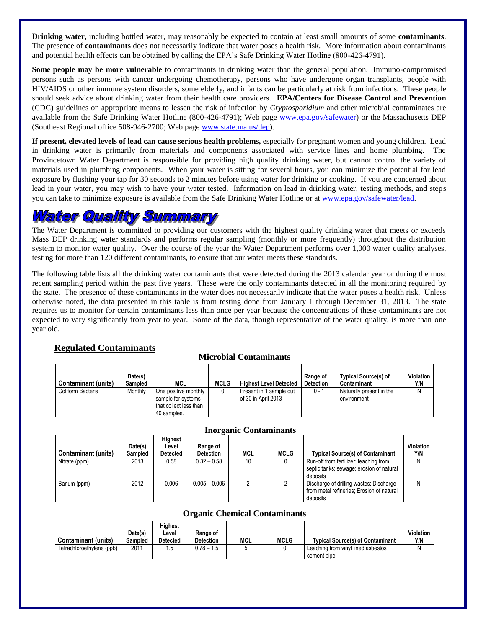**Drinking water,** including bottled water, may reasonably be expected to contain at least small amounts of some **contaminants**. The presence of **contaminants** does not necessarily indicate that water poses a health risk. More information about contaminants and potential health effects can be obtained by calling the EPA's Safe Drinking Water Hotline (800-426-4791).

**Some people may be more vulnerable** to contaminants in drinking water than the general population. Immuno-compromised persons such as persons with cancer undergoing chemotherapy, persons who have undergone organ transplants, people with HIV/AIDS or other immune system disorders, some elderly, and infants can be particularly at risk from infections. These people should seek advice about drinking water from their health care providers. **EPA/Centers for Disease Control and Prevention** (CDC) guidelines on appropriate means to lessen the risk of infection by *Cryptosporidium* and other microbial contaminates are available from the Safe Drinking Water Hotline (800-426-4791); Web page [www.epa.gov/safewater\)](http://www.epa.gov/safewater) or the Massachusetts DEP (Southeast Regional office 508-946-2700; Web page [www.state.ma.us/dep\)](http://www.state.ma.us/dep).

**If present, elevated levels of lead can cause serious health problems,** especially for pregnant women and young children. Lead in drinking water is primarily from materials and components associated with service lines and home plumbing. The Provincetown Water Department is responsible for providing high quality drinking water, but cannot control the variety of materials used in plumbing components. When your water is sitting for several hours, you can minimize the potential for lead exposure by flushing your tap for 30 seconds to 2 minutes before using water for drinking or cooking. If you are concerned about lead in your water, you may wish to have your water tested. Information on lead in drinking water, testing methods, and steps you can take to minimize exposure is available from the Safe Drinking Water Hotline or a[t www.epa.gov/safewater/lead.](http://www.epa.gov/safewater/lead)

### *Vater Quality Summary*

The Water Department is committed to providing our customers with the highest quality drinking water that meets or exceeds Mass DEP drinking water standards and performs regular sampling (monthly or more frequently) throughout the distribution system to monitor water quality. Over the course of the year the Water Department performs over 1,000 water quality analyses, testing for more than 120 different contaminants, to ensure that our water meets these standards.

The following table lists all the drinking water contaminants that were detected during the 2013 calendar year or during the most recent sampling period within the past five years. These were the only contaminants detected in all the monitoring required by the state. The presence of these contaminants in the water does not necessarily indicate that the water poses a health risk. Unless otherwise noted, the data presented in this table is from testing done from January 1 through December 31, 2013. The state requires us to monitor for certain contaminants less than once per year because the concentrations of these contaminants are not expected to vary significantly from year to year. Some of the data, though representative of the water quality, is more than one year old.

#### **Regulated Contaminants**

#### **Microbial Contaminants**

| <b>Contaminant (units)</b> | Date(s)<br>Sampled | MCL                                                                  | <b>MCLG</b> | <b>Highest Level Detected</b>                  | Range of<br><b>Detection</b> | <b>Typical Source(s) of</b><br>Contaminant | Violation<br>Y/N |
|----------------------------|--------------------|----------------------------------------------------------------------|-------------|------------------------------------------------|------------------------------|--------------------------------------------|------------------|
| Coliform Bacteria          | Monthly            | One positive monthly<br>sample for systems<br>that collect less than |             | Present in 1 sample out<br>of 30 in April 2013 | $0 - 1$                      | Naturally present in the<br>environment    | N                |
|                            |                    | 40 samples.                                                          |             |                                                |                              |                                            |                  |

| <b>Contaminant (units)</b> | Date(s)<br>Sampled | Highest<br>Level<br><b>Detected</b> | Range of<br><b>Detection</b> | MCL | MCLG | <b>Typical Source(s) of Contaminant</b>                                                          | <b>Violation</b><br>Y/N |
|----------------------------|--------------------|-------------------------------------|------------------------------|-----|------|--------------------------------------------------------------------------------------------------|-------------------------|
| Nitrate (ppm)              | 2013               | 0.58                                | $0.32 - 0.58$                | 10  |      | Run-off from fertilizer; leaching from<br>septic tanks; sewage; erosion of natural<br>deposits   |                         |
| Barium (ppm)               | 2012               | 0.006                               | $0.005 - 0.006$              |     |      | Discharge of drilling wastes; Discharge<br>from metal refineries; Erosion of natural<br>deposits |                         |

#### **Inorganic Contaminants**

#### **Organic Chemical Contaminants**

| <b>Contaminant (units)</b> | Date(s)<br><b>Sampled</b> | Hiahest<br>Level<br><b>Detected</b> | Range of<br><b>Detection</b> | MCL | <b>MCLG</b> | <b>Typical Source(s) of Contaminant</b> | <b>Violation</b><br>Y/N |
|----------------------------|---------------------------|-------------------------------------|------------------------------|-----|-------------|-----------------------------------------|-------------------------|
| Tetrachloroethylene (ppb)  | 2011                      | .5                                  | $0.78 - 1.5$                 |     |             | Leaching from vinyl lined asbestos      |                         |
|                            |                           |                                     |                              |     |             | cement pipe                             |                         |